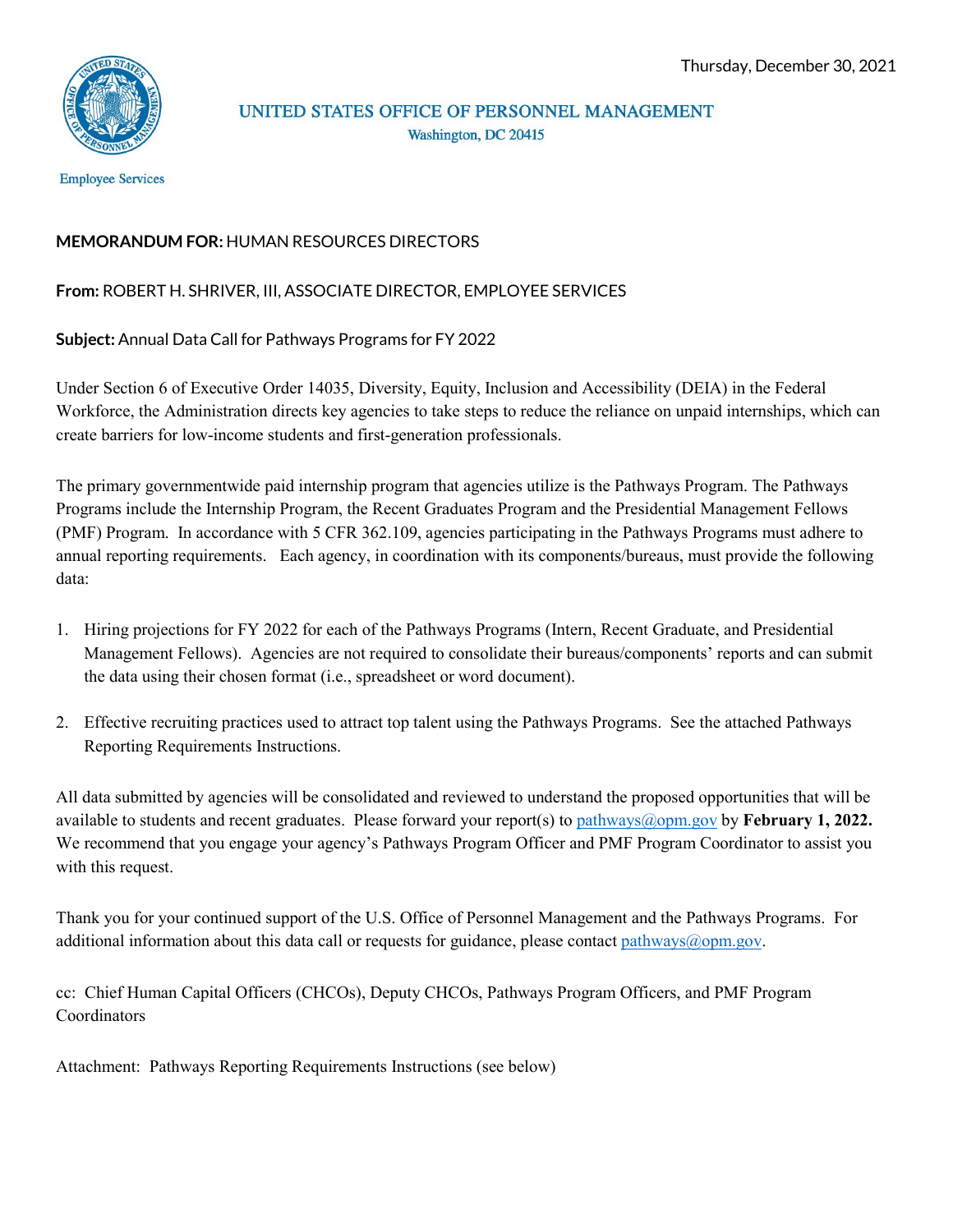

# UNITED STATES OFFICE OF PERSONNEL MANAGEMENT Washington, DC 20415

**Employee Services** 

# **MEMORANDUM FOR:** HUMAN RESOURCES DIRECTORS

# **From:** ROBERT H. SHRIVER, III, ASSOCIATE DIRECTOR, EMPLOYEE SERVICES

**Subject:** Annual Data Call for Pathways Programs for FY 2022

Under Section 6 of Executive Order 14035, Diversity, Equity, Inclusion and Accessibility (DEIA) in the Federal Workforce, the Administration directs key agencies to take steps to reduce the reliance on unpaid internships, which can create barriers for low-income students and first-generation professionals.

The primary governmentwide paid internship program that agencies utilize is the Pathways Program. The Pathways Programs include the Internship Program, the Recent Graduates Program and the Presidential Management Fellows (PMF) Program. In accordance with 5 CFR 362.109, agencies participating in the Pathways Programs must adhere to annual reporting requirements. Each agency, in coordination with its components/bureaus, must provide the following data:

- 1. Hiring projections for FY 2022 for each of the Pathways Programs (Intern, Recent Graduate, and Presidential Management Fellows). Agencies are not required to consolidate their bureaus/components' reports and can submit the data using their chosen format (i.e., spreadsheet or word document).
- 2. Effective recruiting practices used to attract top talent using the Pathways Programs. See the attached Pathways Reporting Requirements Instructions.

All data submitted by agencies will be consolidated and reviewed to understand the proposed opportunities that will be available to students and recent graduates. Please forward your report(s) to [pathways@opm.gov](mailto:pathways@opm.gov) by **February 1, 2022.** We recommend that you engage your agency's Pathways Program Officer and PMF Program Coordinator to assist you with this request.

Thank you for your continued support of the U.S. Office of Personnel Management and the Pathways Programs. For additional information about this data call or requests for guidance, please contact [pathways@opm.gov.](mailto:pathways@opm.gov)

cc: Chief Human Capital Officers (CHCOs), Deputy CHCOs, Pathways Program Officers, and PMF Program Coordinators

Attachment: Pathways Reporting Requirements Instructions (see below)